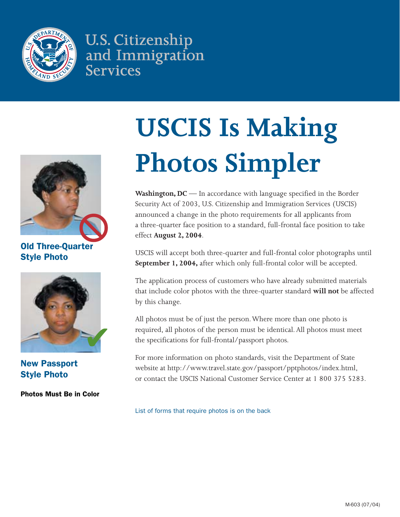

**U.S. Citizenship** and Immigration **Services** 



Old Three-Quarter Style Photo



New Passport Style Photo

Photos Must Be in Color

# **USCIS Is Making Photos Simpler**

**Washington, DC** — In accordance with language specified in the Border Security Act of 2003, U.S. Citizenship and Immigration Services (USCIS) announced a change in the photo requirements for all applicants from a three-quarter face position to a standard, full-frontal face position to take effect **August 2, 2004**.

USCIS will accept both three-quarter and full-frontal color photographs until **September 1, 2004,** after which only full-frontal color will be accepted.

The application process of customers who have already submitted materials that include color photos with the three-quarter standard **will not** be affected by this change.

All photos must be of just the person. Where more than one photo is required, all photos of the person must be identical. All photos must meet the specifications for full-frontal/passport photos.

For more information on photo standards, visit the Department of State website at http://www.travel.state.gov/passport/pptphotos/index.html, or contact the USCIS National Customer Service Center at 1 800 375 5283.

List of forms that require photos is on the back